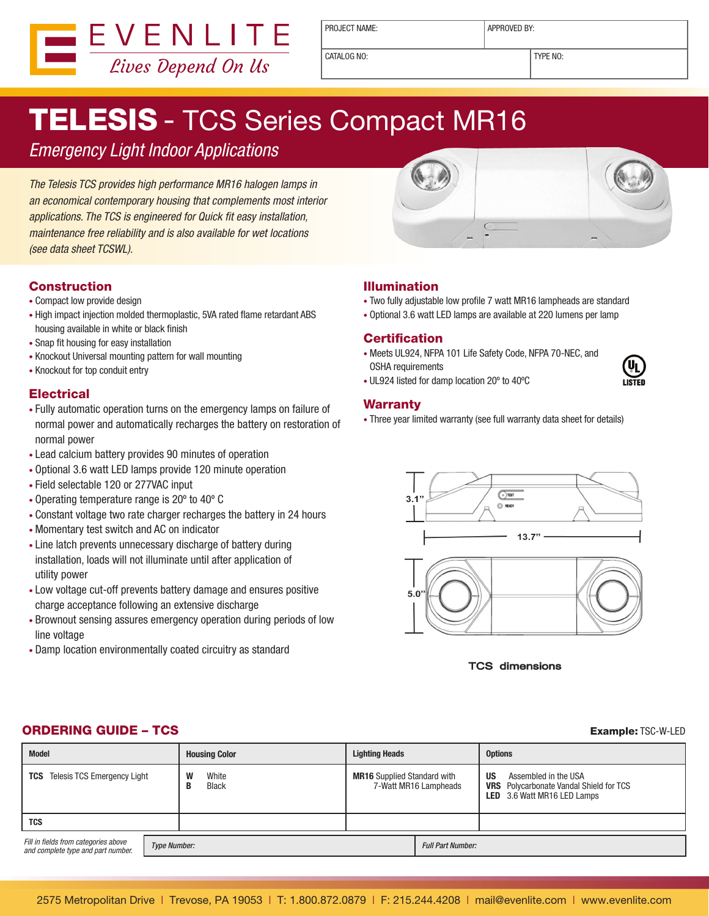

PROJECT NAME:  $\vert$  APPROVED BY:

CATALOG NO: TYPE NO:

# TELESIS - TCS Series Compact MR16

*Emergency Light Indoor Applications*

*The Telesis TCS provides high performance MR16 halogen lamps in an economical contemporary housing that complements most interior applications. The TCS is engineered for Quick fit easy installation, maintenance free reliability and is also available for wet locations (see data sheet TCSWL).*



# **Construction**

- Compact low provide design
- High impact injection molded thermoplastic, 5VA rated flame retardant ABS housing available in white or black finish
- Snap fit housing for easy installation
- Knockout Universal mounting pattern for wall mounting
- Knockout for top conduit entry

# **Electrical**

- Fully automatic operation turns on the emergency lamps on failure of normal power and automatically recharges the battery on restoration of normal power
- Lead calcium battery provides 90 minutes of operation
- Optional 3.6 watt LED lamps provide 120 minute operation
- Field selectable 120 or 277VAC input
- Operating temperature range is 20º to 40º C
- Constant voltage two rate charger recharges the battery in 24 hours
- Momentary test switch and AC on indicator
- Line latch prevents unnecessary discharge of battery during installation, loads will not illuminate until after application of utility power
- Low voltage cut-off prevents battery damage and ensures positive charge acceptance following an extensive discharge
- Brownout sensing assures emergency operation during periods of low line voltage
- Damp location environmentally coated circuitry as standard



- Two fully adjustable low profile 7 watt MR16 lampheads are standard
- Optional 3.6 watt LED lamps are available at 220 lumens per lamp

## **Certification**

- Meets UL924, NFPA 101 Life Safety Code, NFPA 70-NEC, and OSHA requirements
- UL924 listed for damp location 20º to 40ºC

#### Warranty

• Three year limited warranty (see full warranty data sheet for details)





### **ORDERING GUIDE – TCS Example:** TSC-W-LED

#### **Model Housing Color Lighting Heads Options TCS** Telesis TCS Emergency Light **W** White **B** Black **MR16** Supplied Standard with 7-Watt MR16 Lampheads **US** Assembled in the USA **VRS** Polycarbonate Vandal Shield for TCS **LED** 3.6 Watt MR16 LED Lamps **TCS** *Fill in fields from categories above and complete type and part number.* Type Number: Full Part Number: